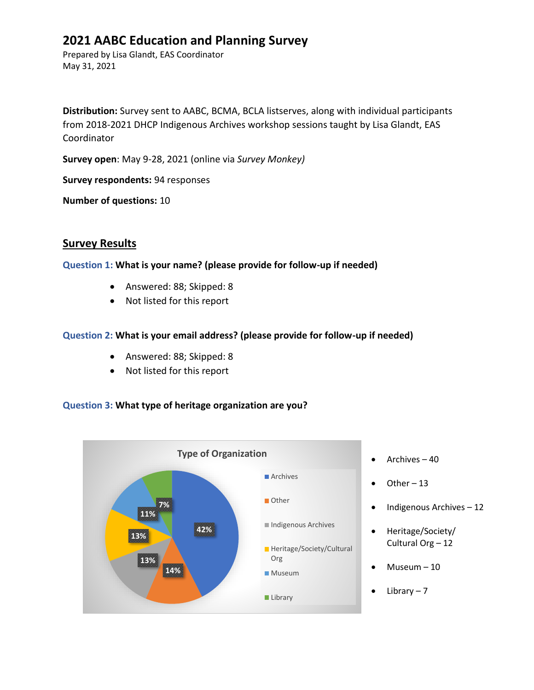# **2021 AABC Education and Planning Survey**

Prepared by Lisa Glandt, EAS Coordinator May 31, 2021

**Distribution:** Survey sent to AABC, BCMA, BCLA listserves, along with individual participants from 2018-2021 DHCP Indigenous Archives workshop sessions taught by Lisa Glandt, EAS Coordinator

**Survey open**: May 9-28, 2021 (online via *Survey Monkey)*

**Survey respondents:** 94 responses

**Number of questions:** 10

## **Survey Results**

#### **Question 1: What is your name? (please provide for follow-up if needed)**

- Answered: 88; Skipped: 8
- Not listed for this report

### **Question 2: What is your email address? (please provide for follow-up if needed)**

- Answered: 88; Skipped: 8
- Not listed for this report

#### **Question 3: What type of heritage organization are you?**

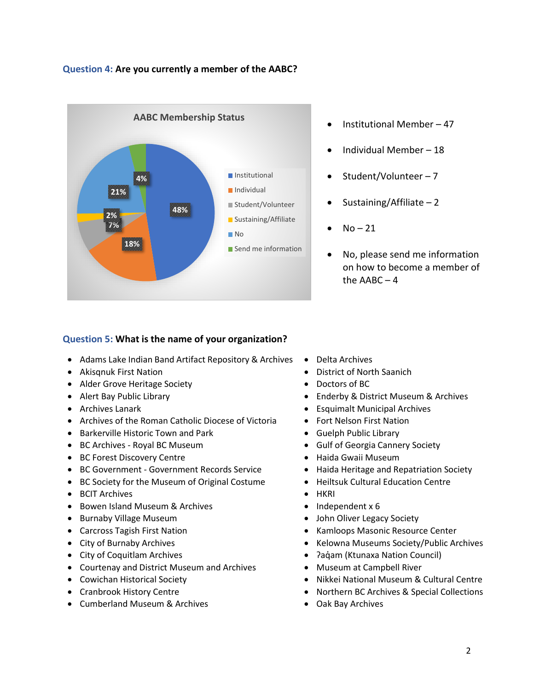#### **Question 4: Are you currently a member of the AABC?**



- Institutional Member 47
- Individual Member 18
- Student/Volunteer 7
- Sustaining/Affiliate  $-2$
- $No 21$
- No, please send me information on how to become a member of the AABC – 4

#### **Question 5: What is the name of your organization?**

- Adams Lake Indian Band Artifact Repository & Archives Delta Archives
- 
- Alder Grove Heritage Society  **Doctors of BC**
- 
- 
- Archives of the Roman Catholic Diocese of Victoria Fort Nelson First Nation
- Barkerville Historic Town and Park Guelph Public Library
- 
- BC Forest Discovery Centre 1999 COMERCIAL VIOLET Haida Gwaii Museum
- BC Government Government Records Service Haida Heritage and Repatriation Society
- BC Society for the Museum of Original Costume Heiltsuk Cultural Education Centre
- BCIT Archives HKRI
- Bowen Island Museum & Archives Independent x 6
- 
- 
- 
- 
- Courtenay and District Museum and Archives Museum at Campbell River
- 
- 
- Cumberland Museum & Archives Oak Bay Archives
- 
- Akisqnuk First Nation District of North Saanich
	-
- Alert Bay Public Library  **Enderby & District Museum & Archives Alert Bay Public Library**
- Archives Lanark **Example 2018** Esquimalt Municipal Archives
	-
	-
- BC Archives Royal BC Museum Gulf of Georgia Cannery Society
	-
	-
	-
	-
	-
- Burnaby Village Museum John Oliver Legacy Society
- Carcross Tagish First Nation  **Kamloops Masonic Resource Center**
- City of Burnaby Archives City of Burnaby Archives Kelowna Museums Society/Public Archives
- City of Coquitlam Archives 2aqızım 2aqızım (Ktunaxa Nation Council)
	-
- Cowichan Historical Society Nikkei National Museum & Cultural Centre
- Cranbrook History Centre  **Northern BC Archives & Special Collections** 
	-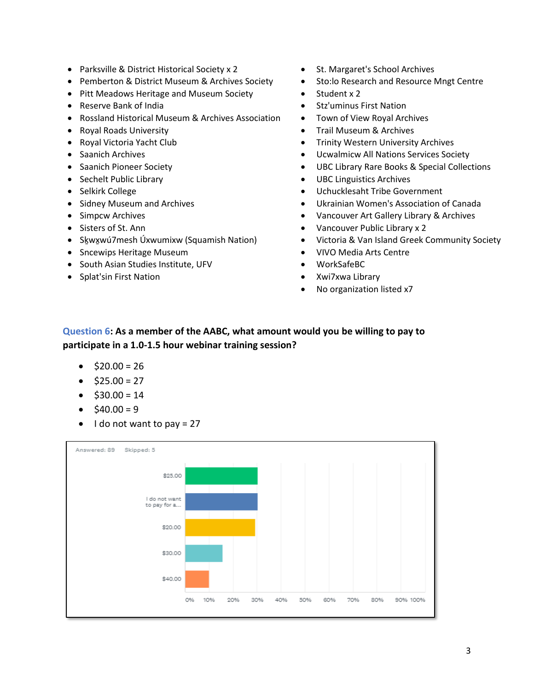- Parksville & District Historical Society x 2 St. Margaret's School Archives
- Pemberton & District Museum & Archives Society Sto:lo Research and Resource Mngt Centre
- Pitt Meadows Heritage and Museum Society Student x 2
- 
- Rossland Historical Museum & Archives Association Town of View Royal Archives
- 
- 
- 
- 
- 
- 
- 
- 
- 
- 
- Sncewips Heritage Museum  **VIVO Media Arts Centre**
- South Asian Studies Institute, UFV WorkSafeBC
- Splat'sin First Nation Xwi7xwa Library
- 
- 
- 
- Reserve Bank of India Stz'uminus First Nation
	-
- Royal Roads University Trail Museum & Archives
- Royal Victoria Yacht Club  **Trinity Western University Archives**
- Saanich Archives Ucwalmicw All Nations Services Society
- Saanich Pioneer Society  **UBC Library Rare Books & Special Collections**
- Sechelt Public Library Contract Library UBC Linguistics Archives
- Selkirk College Uchucklesaht Tribe Government
- Sidney Museum and Archives Ukrainian Women's Association of Canada
- Simpcw Archives Vancouver Art Gallery Library & Archives
- Sisters of St. Ann Vancouver Public Library x 2
- Skwxwú7mesh Úxwumixw (Squamish Nation) Victoria & Van Island Greek Community Society
	-
	-
	-
	- No organization listed x7

## **Question 6: As a member of the AABC, what amount would you be willing to pay to participate in a 1.0-1.5 hour webinar training session?**

- $\bullet$  \$20.00 = 26
- $\bullet$  \$25.00 = 27
- $$30.00 = 14$
- $$40.00 = 9$
- $\bullet$  I do not want to pay = 27

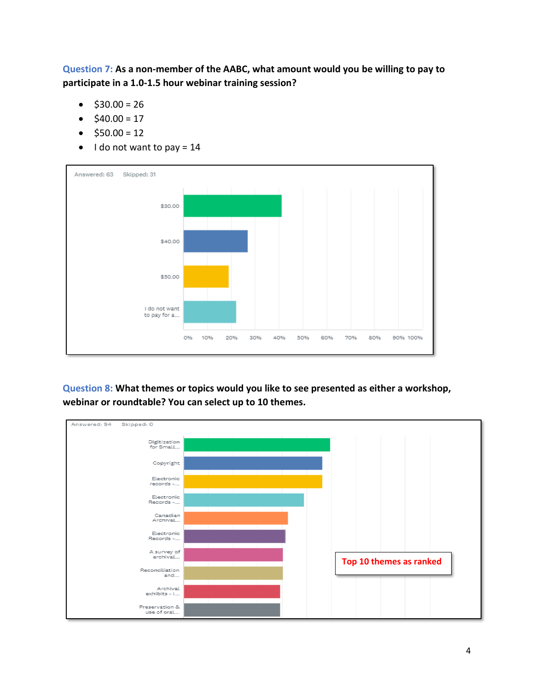**Question 7: As a non-member of the AABC, what amount would you be willing to pay to participate in a 1.0-1.5 hour webinar training session?**

- $$30.00 = 26$
- $$40.00 = 17$
- $$50.00 = 12$
- $\bullet$  I do not want to pay = 14



**Question 8: What themes or topics would you like to see presented as either a workshop, webinar or roundtable? You can select up to 10 themes.**

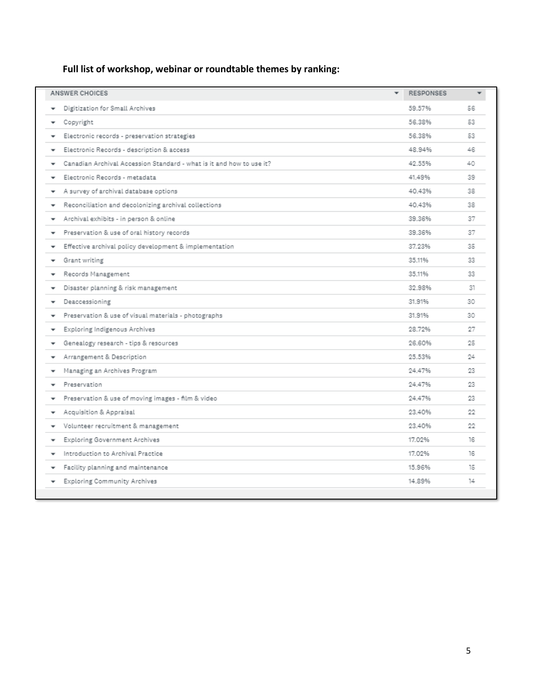# **Full list of workshop, webinar or roundtable themes by ranking:**

| Digitization for Small Archives<br>59.57%<br>56<br>56.38%<br>53<br>Copyright<br>56.38%<br>Electronic records - preservation strategies<br>53<br>Electronic Records - description & access<br>48.94%<br>46<br>Canadian Archival Accession Standard - what is it and how to use it?<br>42.55%<br>40<br>Electronic Records - metadata<br>41.49%<br>39<br>40.43%<br>A survey of archival database options<br>38<br>Reconciliation and decolonizing archival collections<br>40.43%<br>38<br>39.36%<br>Archival exhibits - in person & online<br>37<br>٠<br>39.36%<br>Preservation & use of oral history records<br>37<br>۰<br>Effective archival policy development & implementation<br>37.23%<br>35<br>Grant writing<br>35.11%<br>33<br>35.11%<br>Records Management<br>33<br>32.98%<br>Disaster planning & risk management<br>31<br>T<br>Deaccessioning<br>31.91%<br>30<br>Preservation & use of visual materials - photographs<br>31.91%<br>30<br>28.72%<br>Exploring Indigenous Archives<br>27<br>Genealogy research - tips & resources<br>26.60%<br>25<br>Arrangement & Description<br>25.53%<br>24<br>Managing an Archives Program<br>24.47%<br>23<br>Preservation<br>24.47%<br>23.<br>Preservation & use of moving images - film & video<br>24.47%<br>23.<br>Acquisition & Appraisal<br>23.40%<br>22.<br>Volunteer recruitment & management<br>23 40%<br>22<br>17.02%<br>Exploring Government Archives<br>16.<br>Introduction to Archival Practice<br>17.02%<br>16<br>Facility planning and maintenance<br>15.96%<br>15<br>14.89%<br>Exploring Community Archives<br>14 | ANSWER CHOICES | ٠ | <b>RESPONSES</b> | ٠ |
|---------------------------------------------------------------------------------------------------------------------------------------------------------------------------------------------------------------------------------------------------------------------------------------------------------------------------------------------------------------------------------------------------------------------------------------------------------------------------------------------------------------------------------------------------------------------------------------------------------------------------------------------------------------------------------------------------------------------------------------------------------------------------------------------------------------------------------------------------------------------------------------------------------------------------------------------------------------------------------------------------------------------------------------------------------------------------------------------------------------------------------------------------------------------------------------------------------------------------------------------------------------------------------------------------------------------------------------------------------------------------------------------------------------------------------------------------------------------------------------------------------------------------------------------------------------------------|----------------|---|------------------|---|
|                                                                                                                                                                                                                                                                                                                                                                                                                                                                                                                                                                                                                                                                                                                                                                                                                                                                                                                                                                                                                                                                                                                                                                                                                                                                                                                                                                                                                                                                                                                                                                           |                |   |                  |   |
|                                                                                                                                                                                                                                                                                                                                                                                                                                                                                                                                                                                                                                                                                                                                                                                                                                                                                                                                                                                                                                                                                                                                                                                                                                                                                                                                                                                                                                                                                                                                                                           |                |   |                  |   |
|                                                                                                                                                                                                                                                                                                                                                                                                                                                                                                                                                                                                                                                                                                                                                                                                                                                                                                                                                                                                                                                                                                                                                                                                                                                                                                                                                                                                                                                                                                                                                                           |                |   |                  |   |
|                                                                                                                                                                                                                                                                                                                                                                                                                                                                                                                                                                                                                                                                                                                                                                                                                                                                                                                                                                                                                                                                                                                                                                                                                                                                                                                                                                                                                                                                                                                                                                           |                |   |                  |   |
|                                                                                                                                                                                                                                                                                                                                                                                                                                                                                                                                                                                                                                                                                                                                                                                                                                                                                                                                                                                                                                                                                                                                                                                                                                                                                                                                                                                                                                                                                                                                                                           |                |   |                  |   |
|                                                                                                                                                                                                                                                                                                                                                                                                                                                                                                                                                                                                                                                                                                                                                                                                                                                                                                                                                                                                                                                                                                                                                                                                                                                                                                                                                                                                                                                                                                                                                                           |                |   |                  |   |
|                                                                                                                                                                                                                                                                                                                                                                                                                                                                                                                                                                                                                                                                                                                                                                                                                                                                                                                                                                                                                                                                                                                                                                                                                                                                                                                                                                                                                                                                                                                                                                           |                |   |                  |   |
|                                                                                                                                                                                                                                                                                                                                                                                                                                                                                                                                                                                                                                                                                                                                                                                                                                                                                                                                                                                                                                                                                                                                                                                                                                                                                                                                                                                                                                                                                                                                                                           |                |   |                  |   |
|                                                                                                                                                                                                                                                                                                                                                                                                                                                                                                                                                                                                                                                                                                                                                                                                                                                                                                                                                                                                                                                                                                                                                                                                                                                                                                                                                                                                                                                                                                                                                                           |                |   |                  |   |
|                                                                                                                                                                                                                                                                                                                                                                                                                                                                                                                                                                                                                                                                                                                                                                                                                                                                                                                                                                                                                                                                                                                                                                                                                                                                                                                                                                                                                                                                                                                                                                           |                |   |                  |   |
|                                                                                                                                                                                                                                                                                                                                                                                                                                                                                                                                                                                                                                                                                                                                                                                                                                                                                                                                                                                                                                                                                                                                                                                                                                                                                                                                                                                                                                                                                                                                                                           |                |   |                  |   |
|                                                                                                                                                                                                                                                                                                                                                                                                                                                                                                                                                                                                                                                                                                                                                                                                                                                                                                                                                                                                                                                                                                                                                                                                                                                                                                                                                                                                                                                                                                                                                                           |                |   |                  |   |
|                                                                                                                                                                                                                                                                                                                                                                                                                                                                                                                                                                                                                                                                                                                                                                                                                                                                                                                                                                                                                                                                                                                                                                                                                                                                                                                                                                                                                                                                                                                                                                           |                |   |                  |   |
|                                                                                                                                                                                                                                                                                                                                                                                                                                                                                                                                                                                                                                                                                                                                                                                                                                                                                                                                                                                                                                                                                                                                                                                                                                                                                                                                                                                                                                                                                                                                                                           |                |   |                  |   |
|                                                                                                                                                                                                                                                                                                                                                                                                                                                                                                                                                                                                                                                                                                                                                                                                                                                                                                                                                                                                                                                                                                                                                                                                                                                                                                                                                                                                                                                                                                                                                                           |                |   |                  |   |
|                                                                                                                                                                                                                                                                                                                                                                                                                                                                                                                                                                                                                                                                                                                                                                                                                                                                                                                                                                                                                                                                                                                                                                                                                                                                                                                                                                                                                                                                                                                                                                           |                |   |                  |   |
|                                                                                                                                                                                                                                                                                                                                                                                                                                                                                                                                                                                                                                                                                                                                                                                                                                                                                                                                                                                                                                                                                                                                                                                                                                                                                                                                                                                                                                                                                                                                                                           |                |   |                  |   |
|                                                                                                                                                                                                                                                                                                                                                                                                                                                                                                                                                                                                                                                                                                                                                                                                                                                                                                                                                                                                                                                                                                                                                                                                                                                                                                                                                                                                                                                                                                                                                                           |                |   |                  |   |
|                                                                                                                                                                                                                                                                                                                                                                                                                                                                                                                                                                                                                                                                                                                                                                                                                                                                                                                                                                                                                                                                                                                                                                                                                                                                                                                                                                                                                                                                                                                                                                           |                |   |                  |   |
|                                                                                                                                                                                                                                                                                                                                                                                                                                                                                                                                                                                                                                                                                                                                                                                                                                                                                                                                                                                                                                                                                                                                                                                                                                                                                                                                                                                                                                                                                                                                                                           |                |   |                  |   |
|                                                                                                                                                                                                                                                                                                                                                                                                                                                                                                                                                                                                                                                                                                                                                                                                                                                                                                                                                                                                                                                                                                                                                                                                                                                                                                                                                                                                                                                                                                                                                                           |                |   |                  |   |
|                                                                                                                                                                                                                                                                                                                                                                                                                                                                                                                                                                                                                                                                                                                                                                                                                                                                                                                                                                                                                                                                                                                                                                                                                                                                                                                                                                                                                                                                                                                                                                           |                |   |                  |   |
|                                                                                                                                                                                                                                                                                                                                                                                                                                                                                                                                                                                                                                                                                                                                                                                                                                                                                                                                                                                                                                                                                                                                                                                                                                                                                                                                                                                                                                                                                                                                                                           |                |   |                  |   |
|                                                                                                                                                                                                                                                                                                                                                                                                                                                                                                                                                                                                                                                                                                                                                                                                                                                                                                                                                                                                                                                                                                                                                                                                                                                                                                                                                                                                                                                                                                                                                                           |                |   |                  |   |
|                                                                                                                                                                                                                                                                                                                                                                                                                                                                                                                                                                                                                                                                                                                                                                                                                                                                                                                                                                                                                                                                                                                                                                                                                                                                                                                                                                                                                                                                                                                                                                           |                |   |                  |   |
|                                                                                                                                                                                                                                                                                                                                                                                                                                                                                                                                                                                                                                                                                                                                                                                                                                                                                                                                                                                                                                                                                                                                                                                                                                                                                                                                                                                                                                                                                                                                                                           |                |   |                  |   |
|                                                                                                                                                                                                                                                                                                                                                                                                                                                                                                                                                                                                                                                                                                                                                                                                                                                                                                                                                                                                                                                                                                                                                                                                                                                                                                                                                                                                                                                                                                                                                                           |                |   |                  |   |
|                                                                                                                                                                                                                                                                                                                                                                                                                                                                                                                                                                                                                                                                                                                                                                                                                                                                                                                                                                                                                                                                                                                                                                                                                                                                                                                                                                                                                                                                                                                                                                           |                |   |                  |   |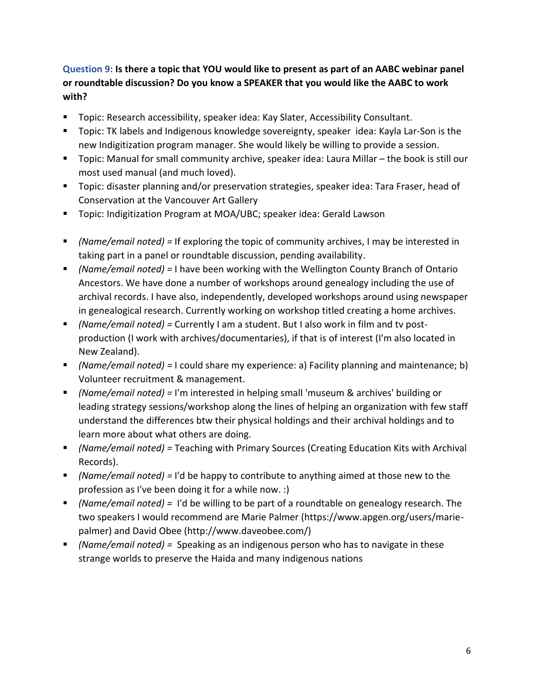## **Question 9: Is there a topic that YOU would like to present as part of an AABC webinar panel or roundtable discussion? Do you know a SPEAKER that you would like the AABC to work with?**

- Topic: Research accessibility, speaker idea: Kay Slater, Accessibility Consultant.
- Topic: TK labels and Indigenous knowledge sovereignty, speaker idea: Kayla Lar-Son is the new Indigitization program manager. She would likely be willing to provide a session.
- Topic: Manual for small community archive, speaker idea: Laura Millar the book is still our most used manual (and much loved).
- Topic: disaster planning and/or preservation strategies, speaker idea: Tara Fraser, head of Conservation at the Vancouver Art Gallery
- Topic: Indigitization Program at MOA/UBC; speaker idea: Gerald Lawson
- *(Name/email noted) =* If exploring the topic of community archives, I may be interested in taking part in a panel or roundtable discussion, pending availability.
- *(Name/email noted) =* I have been working with the Wellington County Branch of Ontario Ancestors. We have done a number of workshops around genealogy including the use of archival records. I have also, independently, developed workshops around using newspaper in genealogical research. Currently working on workshop titled creating a home archives.
- *(Name/email noted) =* Currently I am a student. But I also work in film and tv postproduction (I work with archives/documentaries), if that is of interest (I'm also located in New Zealand).
- *(Name/email noted) =* I could share my experience: a) Facility planning and maintenance; b) Volunteer recruitment & management.
- *(Name/email noted) =* I'm interested in helping small 'museum & archives' building or leading strategy sessions/workshop along the lines of helping an organization with few staff understand the differences btw their physical holdings and their archival holdings and to learn more about what others are doing.
- *(Name/email noted) =* Teaching with Primary Sources (Creating Education Kits with Archival Records).
- *(Name/email noted) =* I'd be happy to contribute to anything aimed at those new to the profession as I've been doing it for a while now. :)
- *(Name/email noted) =* I'd be willing to be part of a roundtable on genealogy research. The two speakers I would recommend are Marie Palmer (https://www.apgen.org/users/mariepalmer) and David Obee (http://www.daveobee.com/)
- *(Name/email noted)* = Speaking as an indigenous person who has to navigate in these strange worlds to preserve the Haida and many indigenous nations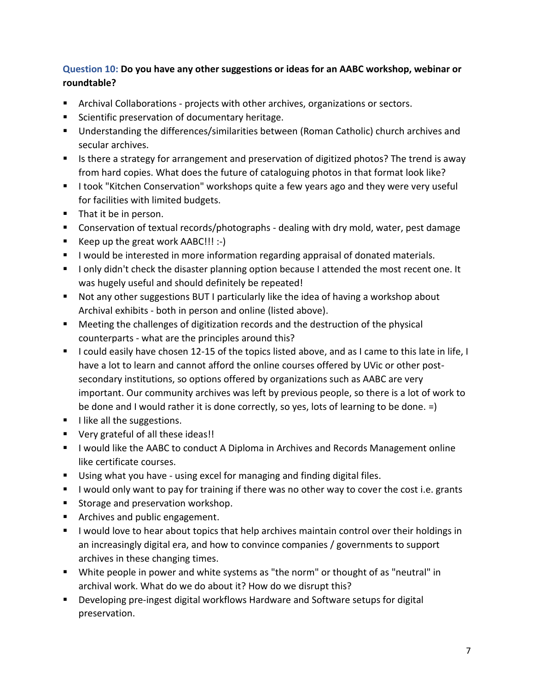## **Question 10: Do you have any other suggestions or ideas for an AABC workshop, webinar or roundtable?**

- Archival Collaborations projects with other archives, organizations or sectors.
- Scientific preservation of documentary heritage.
- Understanding the differences/similarities between (Roman Catholic) church archives and secular archives.
- Is there a strategy for arrangement and preservation of digitized photos? The trend is away from hard copies. What does the future of cataloguing photos in that format look like?
- I took "Kitchen Conservation" workshops quite a few years ago and they were very useful for facilities with limited budgets.
- That it be in person.
- Conservation of textual records/photographs dealing with dry mold, water, pest damage
- Keep up the great work AABC!!! :-)
- I would be interested in more information regarding appraisal of donated materials.
- I only didn't check the disaster planning option because I attended the most recent one. It was hugely useful and should definitely be repeated!
- Not any other suggestions BUT I particularly like the idea of having a workshop about Archival exhibits - both in person and online (listed above).
- Meeting the challenges of digitization records and the destruction of the physical counterparts - what are the principles around this?
- I could easily have chosen 12-15 of the topics listed above, and as I came to this late in life, I have a lot to learn and cannot afford the online courses offered by UVic or other postsecondary institutions, so options offered by organizations such as AABC are very important. Our community archives was left by previous people, so there is a lot of work to be done and I would rather it is done correctly, so yes, lots of learning to be done. =)
- **■** I like all the suggestions.
- Very grateful of all these ideas!!
- I would like the AABC to conduct A Diploma in Archives and Records Management online like certificate courses.
- Using what you have using excel for managing and finding digital files.
- I would only want to pay for training if there was no other way to cover the cost i.e. grants
- Storage and preservation workshop.
- Archives and public engagement.
- I would love to hear about topics that help archives maintain control over their holdings in an increasingly digital era, and how to convince companies / governments to support archives in these changing times.
- White people in power and white systems as "the norm" or thought of as "neutral" in archival work. What do we do about it? How do we disrupt this?
- Developing pre-ingest digital workflows Hardware and Software setups for digital preservation.